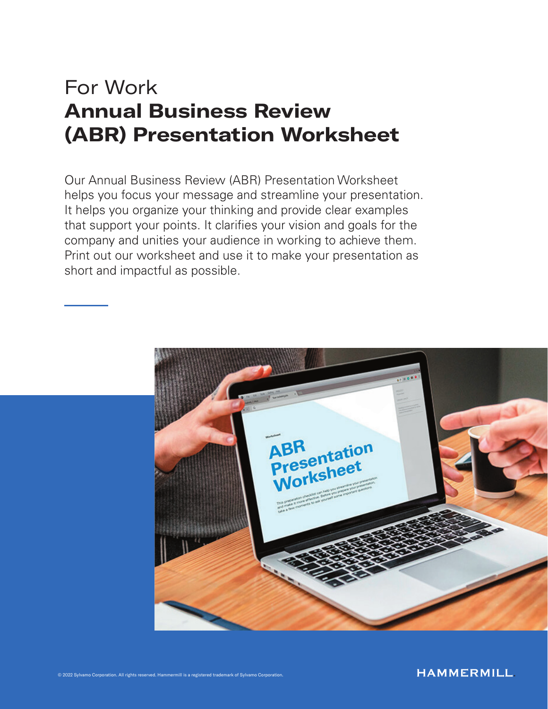# For Work Annual Business Review (ABR) Presentation Worksheet

Our Annual Business Review (ABR) Presentation Worksheet helps you focus your message and streamline your presentation. It helps you organize your thinking and provide clear examples that support your points. It clarifies your vision and goals for the company and unities your audience in working to achieve them. Print out our worksheet and use it to make your presentation as short and impactful as possible.

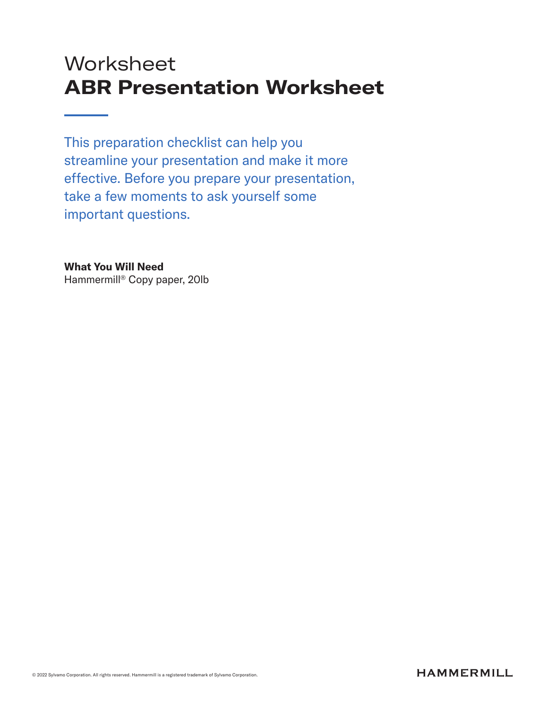# **Worksheet** ABR Presentation Worksheet

This preparation checklist can help you streamline your presentation and make it more effective. Before you prepare your presentation, take a few moments to ask yourself some important questions.

What You Will Need Hammermill® Copy paper, 20lb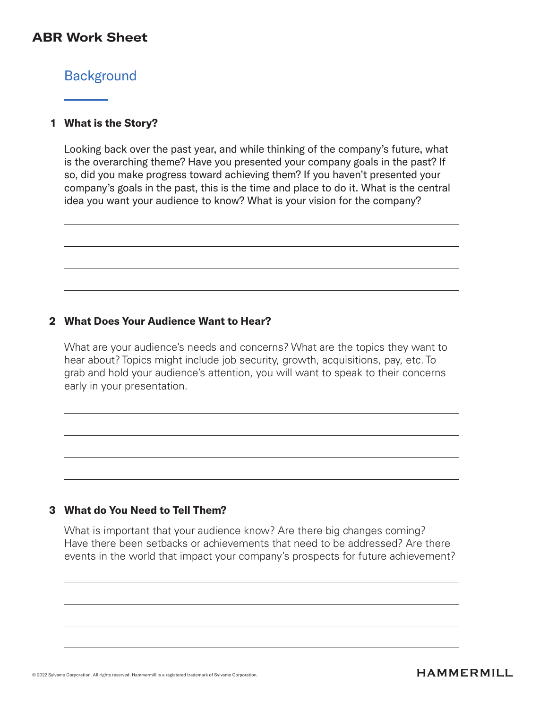# **Background**

#### What is the Story? 1

Looking back over the past year, and while thinking of the company's future, what is the overarching theme? Have you presented your company goals in the past? If so, did you make progress toward achieving them? If you haven't presented your company's goals in the past, this is the time and place to do it. What is the central idea you want your audience to know? What is your vision for the company?

#### What Does Your Audience Want to Hear? 2

What are your audience's needs and concerns? What are the topics they want to hear about? Topics might include job security, growth, acquisitions, pay, etc. To grab and hold your audience's attention, you will want to speak to their concerns early in your presentation.

#### What do You Need to Tell Them? 3

What is important that your audience know? Are there big changes coming? Have there been setbacks or achievements that need to be addressed? Are there events in the world that impact your company's prospects for future achievement?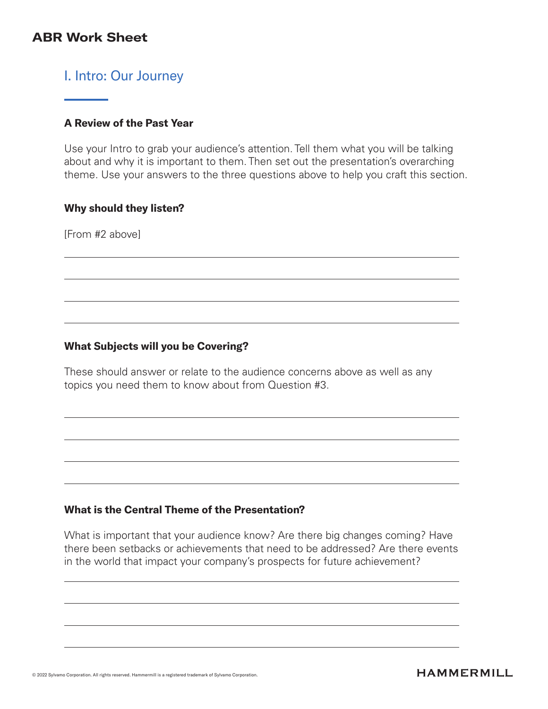# I. Intro: Our Journey

## A Review of the Past Year

Use your Intro to grab your audience's attention. Tell them what you will be talking about and why it is important to them. Then set out the presentation's overarching theme. Use your answers to the three questions above to help you craft this section.

#### Why should they listen?

[From #2 above]

## What Subjects will you be Covering?

These should answer or relate to the audience concerns above as well as any topics you need them to know about from Question #3.

## What is the Central Theme of the Presentation?

What is important that your audience know? Are there big changes coming? Have there been setbacks or achievements that need to be addressed? Are there events in the world that impact your company's prospects for future achievement?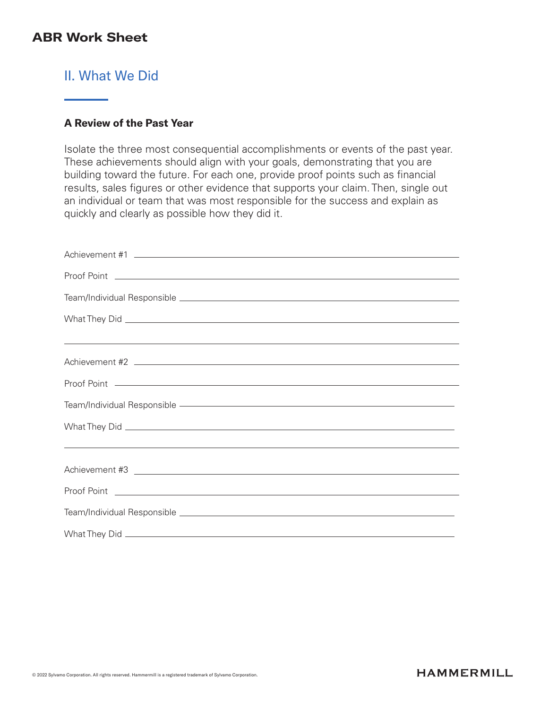# II. What We Did

## A Review of the Past Year

Isolate the three most consequential accomplishments or events of the past year. These achievements should align with your goals, demonstrating that you are building toward the future. For each one, provide proof points such as financial results, sales figures or other evidence that supports your claim. Then, single out an individual or team that was most responsible for the success and explain as quickly and clearly as possible how they did it.

| <u> 1999 - Johann Harry Harry Harry Harry Harry Harry Harry Harry Harry Harry Harry Harry Harry Harry Harry Harry</u>                                                                                                         |
|-------------------------------------------------------------------------------------------------------------------------------------------------------------------------------------------------------------------------------|
|                                                                                                                                                                                                                               |
|                                                                                                                                                                                                                               |
| Team/Individual Responsible - The Contract of the Contract of the Contract of Team and Team and Team and Team and Team and Team and Team and Team and Team and Team and Team and Team and Team and Team and Team and Team and |
|                                                                                                                                                                                                                               |
| <u> 1999 - Johann Stoff, amerikansk politiker (d. 1989)</u>                                                                                                                                                                   |
|                                                                                                                                                                                                                               |
|                                                                                                                                                                                                                               |
|                                                                                                                                                                                                                               |
|                                                                                                                                                                                                                               |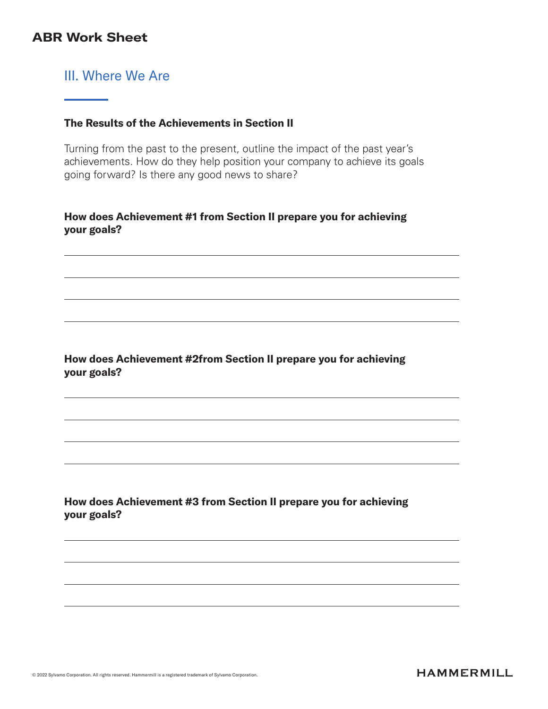# III. Where We Are

## The Results of the Achievements in Section II

Turning from the past to the present, outline the impact of the past year's achievements. How do they help position your company to achieve its goals going forward? Is there any good news to share?

## How does Achievement #1 from Section II prepare you for achieving your goals?

## How does Achievement #2from Section II prepare you for achieving your goals?

## How does Achievement #3 from Section II prepare you for achieving your goals?